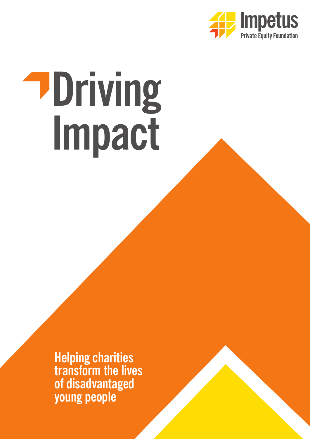

# **Driving Impact**

**Helping charities transform the lives of disadvantaged young people**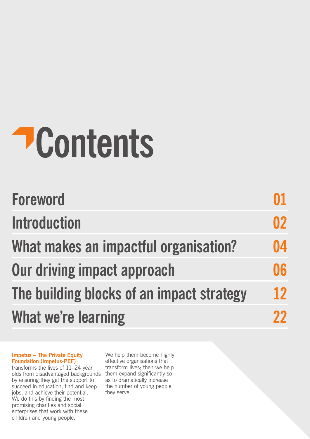## **Contents**

| <b>Foreword</b>                           |           |
|-------------------------------------------|-----------|
| <b>Introduction</b>                       | 02        |
| What makes an impactful organisation?     | 04        |
| Our driving impact approach               | 06        |
| The building blocks of an impact strategy | <b>12</b> |
| What we're learning                       |           |

### **Impetus – The Private Equity Foundation (Impetus-PEF)**

transforms the lives of 11–24 year olds from disadvantaged backgrounds them expand significantly so by ensuring they get the support to succeed in education, find and keep jobs, and achieve their potential. We do this by finding the most promising charities and social enterprises that work with these children and young people.

We help them become highly effective organisations that transform lives; then we help as to dramatically increase the number of young people they serve.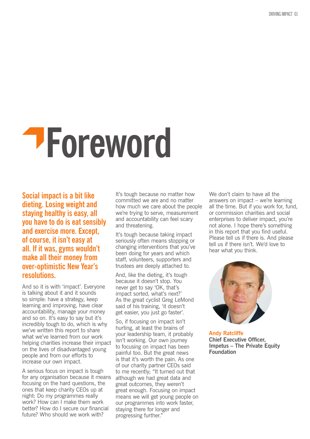### **Foreword**

**Social impact is a bit like dieting. Losing weight and staying healthy is easy, all you have to do is eat sensibly and exercise more. Except, of course, it isn't easy at all. If it was, gyms wouldn't make all their money from over-optimistic New Year's resolutions.**

And so it is with 'impact'. Everyone is talking about it and it sounds so simple: have a strategy, keep learning and improving, have clear accountability, manage your money and so on. It's easy to say but it's incredibly tough to do, which is why we've written this report to share what we've learned from our work helping charities increase their impact on the lives of disadvantaged young people and from our efforts to increase our own impact.

A serious focus on impact is tough for any organisation because it means focusing on the hard questions, the ones that keep charity CEOs up at night: Do my programmes really work? How can I make them work better? How do I secure our financial future? Who should we work with?

It's tough because no matter how committed we are and no matter how much we care about the people we're trying to serve, measurement and accountability can feel scary and threatening.

It's tough because taking impact seriously often means stopping or changing interventions that you've been doing for years and which staff, volunteers, supporters and trustees are deeply attached to.

And, like the dieting, it's tough because it doesn't stop. You never get to say 'OK, that's impact sorted, what's next?' As the great cyclist Greg LeMond said of his training, 'it doesn't get easier, you just go faster'.

So, if focusing on impact isn't hurting, at least the brains of your leadership team, it probably isn't working. Our own journey to focusing on impact has been painful too. But the great news is that it's worth the pain. As one of our charity partner CEOs said to me recently; "It turned out that although we had great data and great outcomes, they weren't great enough. Focusing on impact means we will get young people on our programmes into work faster, staying there for longer and progressing further."

We don't claim to have all the answers on impact – we're learning all the time. But if you work for, fund, or commission charities and social enterprises to deliver impact, you're not alone. I hope there's something in this report that you find useful. Please tell us if there is. And please tell us if there isn't. We'd love to hear what you think.



**Andy Ratcliffe Chief Executive Officer, Impetus – The Private Equity Foundation**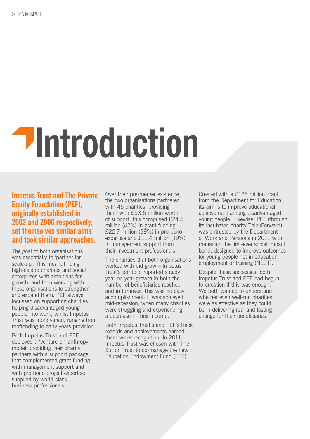### **Introduction**

### **Impetus Trust and The Private Equity Foundation (PEF), originally established in 2002 and 2006 respectively, set themselves similar aims and took similar approaches.**

The goal of both organisations was essentially to 'partner for scale-up'. This meant finding high-calibre charities and social enterprises with ambitions for growth, and then working with these organisations to strengthen and expand them. PEF always focussed on supporting charities helping disadvantaged young people into work, whilst Impetus Trust was more varied, ranging from reoffending to early years provision.

Both Impetus Trust and PEF deployed a 'venture philanthropy' model, providing their charity partners with a support package that complemented grant funding with management support and with pro bono project expertise supplied by world-class business professionals.

Over their pre-merger existence, the two organisations partnered with 45 charities, providing them with £58.6 million worth of support; this comprised £24.5 million (42%) in grant funding, £22.7 million (39%) in pro bono expertise and £11.4 million (19%) in management support from their investment professionals.

The charities that both organisations worked with did grow – Impetus Trust's portfolio reported steady year-on-year growth in both the number of beneficiaries reached and in turnover. This was no easy accomplishment: it was achieved mid-recession, when many charities were struggling and experiencing a decrease in their income.

Both Impetus Trust's and PEF's track records and achievements earned them wider recognition. In 2011, Impetus Trust was chosen with The Sutton Trust to co-manage the new Education Endowment Fund (EEF).

Created with a £125 million grant from the Department for Education, its aim is to improve educational achievement among disadvantaged young people. Likewise, PEF (through its incubated charity ThinkForward) was entrusted by the Department of Work and Pensions in 2011 with managing the first-ever social impact bond, designed to improve outcomes for young people not in education, employment or training (NEET).

Despite these successes, both Impetus Trust and PEF had begun to question if this was enough. We both wanted to understand whether even well-run charities were as effective as they could be in delivering real and lasting change for their beneficiaries.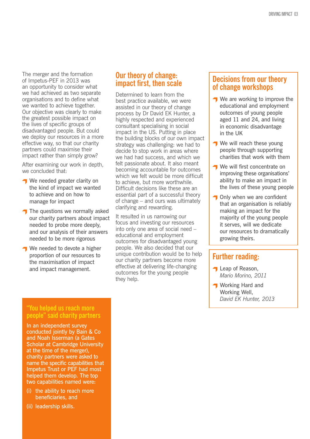The merger and the formation of Impetus-PEF in 2013 was an opportunity to consider what we had achieved as two separate organisations and to define what we wanted to achieve together. Our objective was clearly to make the greatest possible impact on the lives of specific groups of disadvantaged people. But could we deploy our resources in a more effective way, so that our charity partners could maximise their impact rather than simply grow?

After examining our work in depth, we concluded that:

- We needed greater clarity on the kind of impact we wanted to achieve and on how to manage for impact
- $\bigcap$  The questions we normally asked our charity partners about impact needed to probe more deeply, and our analysis of their answers needed to be more rigorous
- We needed to devote a higher proportion of our resources to the maximisation of impact and impact management.

### **Our theory of change: impact first, then scale**

Determined to learn from the best practice available, we were assisted in our theory of change process by Dr David EK Hunter, a highly respected and experienced consultant specialising in social impact in the US. Putting in place the building blocks of our own impact strategy was challenging: we had to decide to stop work in areas where we had had success, and which we felt passionate about. It also meant becoming accountable for outcomes which we felt would be more difficult to achieve, but more worthwhile. Difficult decisions like these are an essential part of a successful theory of change – and ours was ultimately clarifying and rewarding.

It resulted in us narrowing our focus and investing our resources into only one area of social need – educational and employment outcomes for disadvantaged young people. We also decided that our unique contribution would be to help our charity partners become more effective at delivering life-changing outcomes for the young people they help.

### **Decisions from our theory of change workshops**

- **↑ We are working to improve the** educational and employment outcomes of young people aged 11 and 24, and living in economic disadvantage in the UK
- We will reach these young people through supporting charities that work with them
- **We will first concentrate on** improving these organisations' ability to make an impact in the lives of these young people
- **T** Only when we are confident that an organisation is reliably making an impact for the majority of the young people it serves, will we dedicate our resources to dramatically growing theirs.

### **Further reading:**

- **T** Leap of Reason. *Mario Morino, 2011*
- **T** Working Hard and Working Well, *David EK Hunter, 2013*

### **"You helped us reach more people" said charity partners**

In an independent survey conducted jointly by Bain & Co and Noah Isserman (a Gates Scholar at Cambridge University at the time of the merger), charity partners were asked to name the specific capabilities that Impetus Trust or PEF had most helped them develop. The top two capabilities named were:

- (i) the ability to reach more beneficiaries, and
- (ii) leadership skills.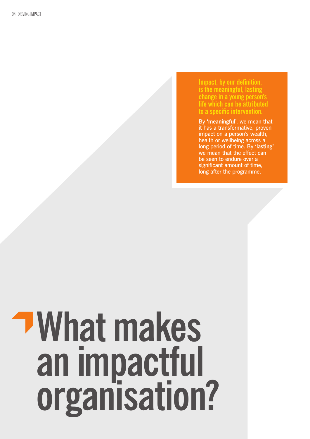**Impact, by our definition, is the meaningful, lasting change in a young person's life which can be attributed to a specific intervention.**

By **'meaningful'**, we mean that it has a transformative, proven impact on a person's wealth, health or wellbeing across a long period of time. By **'lasting'** we mean that the effect can be seen to endure over a significant amount of time, long after the programme.

### **What makes an impactful organisation?**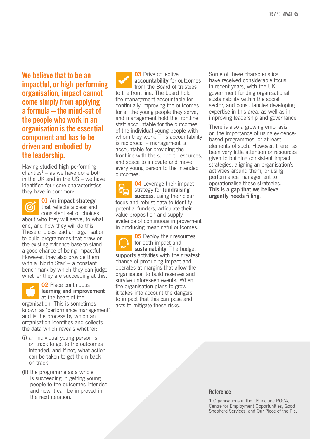**We believe that to be an impactful, or high-performing organisation, impact cannot come simply from applying a formula – the mind-set of the people who work in an organisation is the essential component and has to be driven and embodied by the leadership.** 

Having studied high-performing  $charities<sup>1</sup> - as we have done both$ in the UK and in the US – we have identified four core characteristics they have in common:



**01** An **impact strategy** that reflects a clear and

consistent set of choices about who they will serve, to what end, and how they will do this. These choices lead an organisation to build programmes that draw on the existing evidence base to stand a good chance of being impactful. However, they also provide them with a 'North Star' – a constant benchmark by which they can judge whether they are succeeding at this.

**02** Place continuous **learning and improvement** at the heart of the organisation. This is sometimes known as 'performance management', and is the process by which an organisation identifies and collects the data which reveals whether:

- **(i)** an individual young person is on track to get to the outcomes intended, and if not, what action can be taken to get them back on track
- **(ii)** the programme as a whole is succeeding in getting young people to the outcomes intended and how it can be improved in the next iteration.

**03** Drive collective **accountability** for outcomes from the Board of trustees to the front line. The board hold the management accountable for continually improving the outcomes for all the young people they serve, and management hold the frontline staff accountable for the outcomes of the individual young people with whom they work. This accountability is reciprocal – management is accountable for providing the frontline with the support, resources, and space to innovate and move every young person to the intended outcomes.

**04** Leverage their impact strategy for **fundraising success**, using their clear focus and robust data to identify potential funders, articulate their value proposition and supply evidence of continuous improvement in producing meaningful outcomes.

**05** Deploy their resources for both impact and **sustainability**. The budget supports activities with the greatest chance of producing impact and operates at margins that allow the organisation to build reserves and survive unforeseen events. When the organisation plans to grow, it takes into account the dangers to impact that this can pose and acts to mitigate these risks.

Some of these characteristics have received considerable focus in recent years, with the UK government funding organisational sustainability within the social sector, and consultancies developing expertise in this area, as well as in improving leadership and governance.

There is also a growing emphasis on the importance of using evidencebased programmes, or at least elements of such. However, there has been very little attention or resources given to building consistent impact strategies, aligning an organisation's activities around them, or using performance management to operationalise these strategies. **This is a gap that we believe urgently needs filling**.

### **Reference**

**1** Organisations in the US include ROCA, Centre for Employment Opportunities, Good Shepherd Services, and Our Piece of the Pie.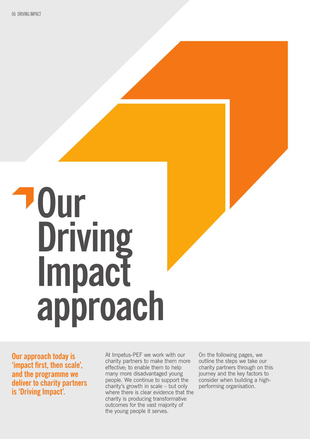### **Our Driving Impact approach**

**Our approach today is 'impact first, then scale', and the programme we deliver to charity partners is 'Driving Impact'.** 

At Impetus-PEF we work with our charity partners to make them more effective; to enable them to help many more disadvantaged young people. We continue to support the charity's growth in scale – but only where there is clear evidence that the charity is producing transformative outcomes for the vast majority of the young people it serves.

On the following pages, we outline the steps we take our charity partners through on this journey and the key factors to consider when building a highperforming organisation.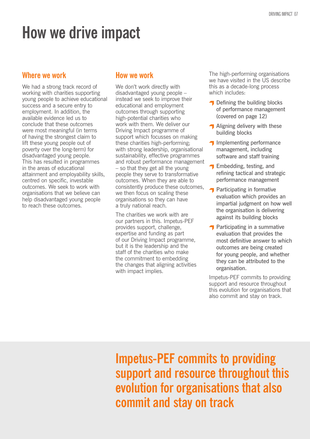### **How we drive impact**

### **Where we work**

We had a strong track record of working with charities supporting young people to achieve educational success and a secure entry to employment. In addition, the available evidence led us to conclude that these outcomes were most meaningful (in terms of having the strongest claim to lift these young people out of poverty over the long-term) for disadvantaged young people. This has resulted in programmes in the areas of educational attainment and employability skills, centred on specific, investable outcomes. We seek to work with organisations that we believe can help disadvantaged young people to reach these outcomes.

### **How we work**

We don't work directly with disadvantaged young people – instead we seek to improve their educational and employment outcomes through supporting high-potential charities who work with them. We deliver our Driving Impact programme of support which focusses on making these charities high-performing; with strong leadership, organisational sustainability, effective programmes and robust performance management – so that they get all the young people they serve to transformative outcomes. When they are able to consistently produce these outcomes, we then focus on scaling these organisations so they can have a truly national reach.

The charities we work with are our partners in this. Impetus-PEF provides support, challenge, expertise and funding as part of our Driving Impact programme, but it is the leadership and the staff of the charities who make the commitment to embedding the changes that aligning activities with impact implies.

The high-performing organisations we have visited in the US describe this as a decade-long process which includes:

- **T** Defining the building blocks of performance management (covered on page 12)
- Aligning delivery with these building blocks
- $\bigcap$  Implementing performance management, including software and staff training
- **T** Embedding, testing, and refining tactical and strategic performance management
- **Participating in formative** evaluation which provides an impartial judgment on how well the organisation is delivering against its building blocks
- $\bigcap$  Participating in a summative evaluation that provides the most definitive answer to which outcomes are being created for young people, and whether they can be attributed to the organisation.

Impetus-PEF commits to providing support and resource throughout this evolution for organisations that also commit and stay on track.

**Impetus-PEF commits to providing support and resource throughout this evolution for organisations that also commit and stay on track**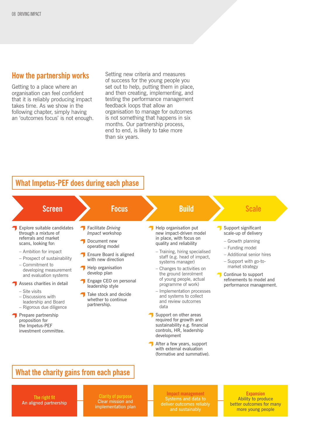### **How the partnership works**

Getting to a place where an organisation can feel confident that it is reliably producing impact takes time. As we show in the following chapter, simply having an 'outcomes focus' is not enough. Setting new criteria and measures of success for the young people you set out to help, putting them in place, and then creating, implementing, and testing the performance management feedback loops that allow an organisation to manage for outcomes is not something that happens in six months. Our partnership process, end to end, is likely to take more than six years.

### **What Impetus-PEF does during each phase**

| <b>Screen</b>                                                                                                                                                                                                                                                                                                                                                                                                                                       | <b>Focus</b>                                                                                                                                                                                                                                                                               | <b>Build</b>                                                                                                                                                                                                                                                                                                                                                                                                                                                                                                                                                                                                        | <b>Scale</b>                                                                                                                                                                                                                               |
|-----------------------------------------------------------------------------------------------------------------------------------------------------------------------------------------------------------------------------------------------------------------------------------------------------------------------------------------------------------------------------------------------------------------------------------------------------|--------------------------------------------------------------------------------------------------------------------------------------------------------------------------------------------------------------------------------------------------------------------------------------------|---------------------------------------------------------------------------------------------------------------------------------------------------------------------------------------------------------------------------------------------------------------------------------------------------------------------------------------------------------------------------------------------------------------------------------------------------------------------------------------------------------------------------------------------------------------------------------------------------------------------|--------------------------------------------------------------------------------------------------------------------------------------------------------------------------------------------------------------------------------------------|
| Explore suitable candidates<br>through a mixture of<br>referrals and market<br>scans, looking for:<br>- Ambition for impact<br>- Prospect of sustainability<br>$-$ Commitment to<br>developing measurement<br>and evaluation systems<br>Assess charities in detail<br>- Site visits<br>- Discussions with<br>leadership and Board<br>- Rigorous due diligence<br>Prepare partnership<br>proposition for<br>the Impetus-PEF<br>investment committee. | <b>Facilitate Driving</b><br><i>Impact</i> workshop<br>Document new<br>operating model<br>Ensure Board is aligned<br>with new direction<br>Help organisation<br>develop plan<br>Engage CEO on personal<br>leadership style<br>Take stock and decide<br>whether to continue<br>partnership. | Help organisation put<br>new impact-driven model<br>in place, with focus on<br>quality and reliability<br>- Training, hiring specialised<br>staff (e.g. head of impact,<br>systems manager)<br>- Changes to activities on<br>the ground (enrolment<br>of young people, actual<br>programme of work)<br>- Implementation processes<br>and systems to collect<br>and review outcomes<br>data<br>Support on other areas<br>required for growth and<br>sustainability e.g. financial<br>controls, HR, leadership<br>development<br>After a few years, support<br>with external evaluation<br>(formative and summative). | Support significant<br>scale-up of delivery<br>- Growth planning<br>- Funding model<br>- Additional senior hires<br>- Support with go-to-<br>market strategy<br>Continue to support<br>refinements to model and<br>performance management. |

### **What the charity gains from each phase**

**The right fit** An aligned partnership

Clear mission and implementation plan

**Impact management** Systems and data to

**Expansion** Ability to produce better outcomes for many more young people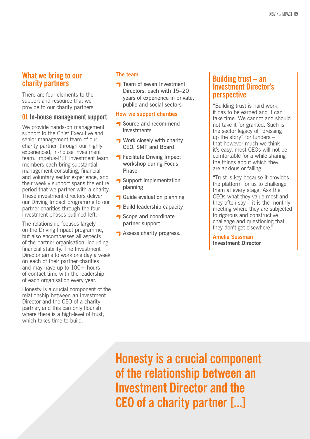### **What we bring to our charity partners**

There are four elements to the support and resource that we provide to our charity partners:

### **01 In-house management support**

We provide hands-on management support to the Chief Executive and senior management team of our charity partner, through our highly experienced, in-house investment team. Impetus-PEF investment team members each bring substantial management consulting, financial and voluntary sector experience, and their weekly support spans the entire period that we partner with a charity. These investment directors deliver our Driving Impact programme to our partner charities through the four investment phases outlined left.

The relationship focuses largely on the Driving Impact programme, but also encompasses all aspects of the partner organisation, including financial stability. The Investment Director aims to work one day a week on each of their partner charities and may have up to 100+ hours of contact time with the leadership of each organisation every year.

Honesty is a crucial component of the relationship between an Investment Director and the CEO of a charity partner, and this can only flourish where there is a high-level of trust, which takes time to build.

### **The team**

**T** Team of seven Investment Directors, each with 15–20 years of experience in private, public and social sectors

### **How we support charities**

- **T** Source and recommend investments
- **Work closely with charity** CEO, SMT and Board
- **T** Facilitate Driving Impact workshop during Focus Phase
- Support implementation planning
- **Guide evaluation planning**
- Build leadership capacity
- Scope and coordinate partner support
- **Assess charity progress.**

### **Building trust – an Investment Director's perspective**

"Building trust is hard work; it has to be earned and it can take time. We cannot and should not take it for granted. Such is the sector legacy of "dressing up the story" for funders – that however much we think it's easy, most CEOs will not be comfortable for a while sharing the things about which they are anxious or failing.

"Trust is key because it provides the platform for us to challenge them at every stage. Ask the CEOs what they value most and they often say  $-$  it is the monthly meeting where they are subjected to rigorous and constructive challenge and questioning that they don't get elsewhere."

**Amelia Sussman Investment Director**

**Honesty is a crucial component of the relationship between an Investment Director and the CEO of a charity partner [...]**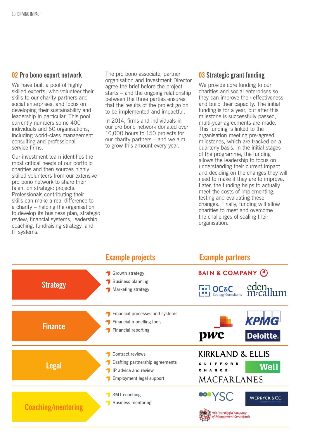### **02 Pro bono expert network**

We have built a pool of highly skilled experts, who volunteer their skills to our charity partners and social enterprises, and focus on developing their sustainability and leadership in particular. This pool currently numbers some 400 individuals and 60 organisations, including world-class management consulting and professional service firms.

Our investment team identifies the most critical needs of our portfolio charities and then sources highly skilled volunteers from our extensive pro bono network to share their talent on strategic projects. Professionals contributing their skills can make a real difference to a charity – helping the organisation to develop its business plan, strategic review, financial systems, leadership coaching, fundraising strategy, and IT systems.

The pro bono associate, partner organisation and Investment Director agree the brief before the project starts – and the ongoing relationship between the three parties ensures that the results of the project go on to be implemented and impactful.

In 2014, firms and individuals in our pro bono network donated over 10,000 hours to 150 projects for our charity partners – and we aim to grow this amount every year.

### **03 Strategic grant funding**

We provide core funding to our charities and social enterprises so they can improve their effectiveness and build their capacity. The initial funding is for a year, but after this milestone is successfully passed, multi-year agreements are made. This funding is linked to the organisation meeting pre-agreed milestones, which are tracked on a quarterly basis. In the initial stages of the programme, the funding allows the leadership to focus on understanding their current impact and deciding on the changes they will need to make if they are to improve. Later, the funding helps to actually meet the costs of implementing, testing and evaluating these changes. Finally, funding will allow charities to meet and overcome the challenges of scaling their organisation.

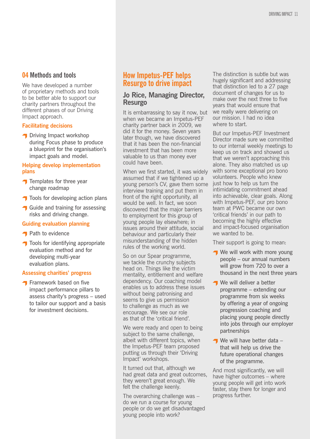### **04 Methods and tools**

We have developed a number of proprietary methods and tools to be better able to support our charity partners throughout the different phases of our Driving Impact approach.

### **Facilitating decisions**

**↑** Driving Impact workshop during Focus phase to produce a blueprint for the organisation's impact goals and model.

### **Helping develop implementation plans**

- $\bigcap$  Templates for three year change roadmap
- **T** Tools for developing action plans
- **Guide and training for assessing** risks and driving change.

### **Guiding evaluation planning**

- **Path to evidence**
- Tools for identifying appropriate evaluation method and for developing multi-year evaluation plans.

### **Assessing charities' progress**

**T** Framework based on five impact performance pillars to assess charity's progress – used to tailor our support and a basis for investment decisions.

### **How Impetus-PEF helps Resurgo to drive impact**

### **Jo Rice, Managing Director, Resurgo**

It is embarrassing to say it now, but when we became an Impetus-PEF charity partner back in 2009, we did it for the money. Seven years later though, we have discovered that it has been the non-financial investment that has been more valuable to us than money ever could have been.

When we first started, it was widely assumed that if we tightened up a young person's CV, gave them some interview training and put them in front of the right opportunity, all would be well. In fact, we soon discovered that the major barriers to employment for this group of young people lay elsewhere; in issues around their attitude, social behaviour and particularly their misunderstanding of the hidden rules of the working world.

So on our Spear programme, we tackle the crunchy subjects head on. Things like the victim mentality, entitlement and welfare dependency. Our coaching model enables us to address these issues without being patronising and seems to give us permission to challenge as much as we encourage. We see our role as that of the 'critical friend'.

We were ready and open to being subject to the same challenge, albeit with different topics, when the Impetus-PEF team proposed putting us through their 'Driving Impact' workshops.

It turned out that, although we had great data and great outcomes, they weren't great enough. We felt the challenge keenly.

The overarching challenge was – do we run a course for young people or do we get disadvantaged young people into work?

The distinction is subtle but was hugely significant and addressing that distinction led to a 27 page document of changes for us to make over the next three to five years that would ensure that we really were delivering on our mission. I had no idea where to start.

But our Impetus-PEF Investment Director made sure we committed to our internal weekly meetings to keep us on track and showed us that we weren't approaching this alone. They also matched us up with some exceptional pro bono volunteers. People who knew just how to help us turn the intimidating commitment ahead into achievable, clear goals. Along with Impetus-PEF, our pro bono team at PWC became our own 'critical friends' in our path to becoming the highly effective and impact-focused organisation we wanted to be.

Their support is going to mean:

- We will work with more young people – our annual numbers will grow from 720 to over a thousand in the next three years
- **We will deliver a better** programme – extending our programme from six weeks by offering a year of ongoing progression coaching and placing young people directly into jobs through our employer partnerships
- $\blacksquare$  We will have better data  $\blacksquare$ that will help us drive the future operational changes of the programme.

And most significantly, we will have higher outcomes – where young people will get into work faster, stay there for longer and progress further.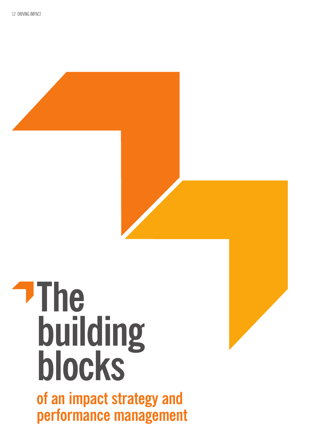

**of an impact strategy and performance management**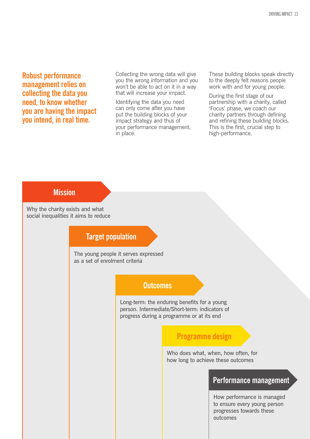**Robust performance management relies on collecting the data you need, to know whether you are having the impact you intend, in real time.** 

Collecting the wrong data will give you the wrong information and you won't be able to act on it in a way that will increase your impact.

Identifying the data you need can only come after you have put the building blocks of your impact strategy and thus of your performance management, in place.

These building blocks speak directly to the deeply felt reasons people work with and for young people.

During the first stage of our partnership with a charity, called 'Focus' phase, we coach our charity partners through defining and refining these building blocks. This is the first, crucial step to high-performance.

### **Mission**

Why the charity exists and what social inequalities it aims to reduce

### **Target population**

The young people it serves expressed as a set of enrolment criteria

### **Outcomes**

Long-term: the enduring benefits for a young person. Intermediate/Short-term: indicators of progress during a programme or at its end

### **Programme design**

Who does what, when, how often, for how long to achieve these outcomes

### **Performance management**

How performance is managed to ensure every young person progresses towards these outcomes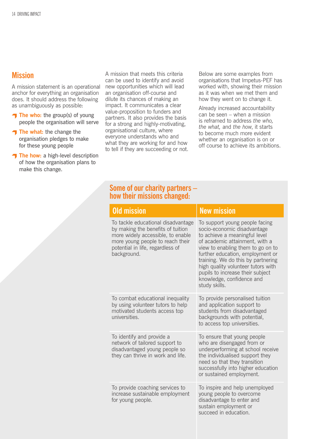### **Mission**

A mission statement is an operational anchor for everything an organisation does. It should address the following as unambiguously as possible:

- **The who:** the group(s) of young people the organisation will serve
- The what: the change the organisation pledges to make for these young people
- The how: a high-level description of how the organisation plans to make this change.

A mission that meets this criteria can be used to identify and avoid new opportunities which will lead an organisation off-course and dilute its chances of making an impact. It communicates a clear value-proposition to funders and partners. It also provides the basis for a strong and highly-motivating, organisational culture, where everyone understands who and what they are working for and how to tell if they are succeeding or not.

Below are some examples from organisations that Impetus-PEF has worked with, showing their mission as it was when we met them and how they went on to change it.

Already increased accountability can be seen – when a mission is reframed to address *the who, the what,* and *the how*, it starts to become much more evident whether an organisation is on or off course to achieve its ambitions.

### **Some of our charity partners – how their missions changed:**

| <b>Old mission</b>                                                                                                                                                                                  | <b>New mission</b>                                                                                                                                                                                                                                                                                                                                                      |
|-----------------------------------------------------------------------------------------------------------------------------------------------------------------------------------------------------|-------------------------------------------------------------------------------------------------------------------------------------------------------------------------------------------------------------------------------------------------------------------------------------------------------------------------------------------------------------------------|
| To tackle educational disadvantage<br>by making the benefits of tuition<br>more widely accessible, to enable<br>more young people to reach their<br>potential in life, regardless of<br>background. | To support young people facing<br>socio-economic disadvantage<br>to achieve a meaningful level<br>of academic attainment, with a<br>view to enabling them to go on to<br>further education, employment or<br>training. We do this by partnering<br>high quality volunteer tutors with<br>pupils to increase their subject<br>knowledge, confidence and<br>study skills. |
| To combat educational inequality<br>by using volunteer tutors to help<br>motivated students access top<br>universities.                                                                             | To provide personalised tuition<br>and application support to<br>students from disadvantaged<br>backgrounds with potential,<br>to access top universities.                                                                                                                                                                                                              |
| To identify and provide a<br>network of tailored support to<br>disadvantaged young people so<br>they can thrive in work and life.                                                                   | To ensure that young people<br>who are disengaged from or<br>underperforming at school receive<br>the individualised support they<br>need so that they transition<br>successfully into higher education<br>or sustained employment.                                                                                                                                     |
| To provide coaching services to<br>increase sustainable employment<br>for young people.                                                                                                             | To inspire and help unemployed<br>young people to overcome<br>disadvantage to enter and<br>sustain employment or<br>succeed in education.                                                                                                                                                                                                                               |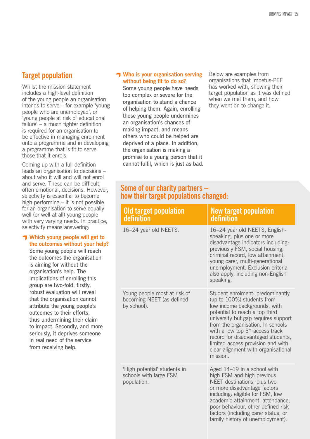### **Target population**

Whilst the mission statement includes a high-level definition of the young people an organisation intends to serve – for example 'young people who are unemployed', or 'young people at risk of educational failure' – a much tighter definition is required for an organisation to be effective in managing enrolment onto a programme and in developing a programme that is fit to serve those that it enrols.

Coming up with a full definition leads an organisation to decisions – about who it will and will not enrol and serve. These can be difficult, often emotional, decisions. However, selectivity is essential to become high performing – it is not possible for an organisation to serve equally well (or well at all) young people with very varying needs. In practice, selectivity means answering:

### **Which young people will get to the outcomes without your help?**

Some young people will reach the outcomes the organisation is aiming for without the organisation's help. The implications of enrolling this group are two-fold: firstly, robust evaluation will reveal that the organisation cannot attribute the young people's outcomes to their efforts, thus undermining their claim to impact. Secondly, and more seriously, it deprives someone in real need of the service from receiving help.

### **T** Who is your organisation serving **without being fit to do so?**

Some young people have needs too complex or severe for the organisation to stand a chance of helping them. Again, enrolling these young people undermines an organisation's chances of making impact, and means others who could be helped are deprived of a place. In addition, the organisation is making a promise to a young person that it cannot fulfil, which is just as bad. Below are examples from organisations that Impetus-PEF has worked with, showing their target population as it was defined when we met them, and how they went on to change it.

### **Some of our charity partners – how their target populations changed:**

| <b>Old target population</b><br>definition                               | <b>New target population</b><br>definition                                                                                                                                                                                                                                                                                                                                                |
|--------------------------------------------------------------------------|-------------------------------------------------------------------------------------------------------------------------------------------------------------------------------------------------------------------------------------------------------------------------------------------------------------------------------------------------------------------------------------------|
| 16-24 year old NEETS.                                                    | 16-24 year old NEETS, English-<br>speaking, plus one or more<br>disadvantage indicators including:<br>previously FSM, social housing,<br>criminal record, low attainment,<br>young carer, multi-generational<br>unemployment. Exclusion criteria<br>also apply, including non-English<br>speaking.                                                                                        |
| Young people most at risk of<br>becoming NEET (as defined<br>by school). | Student enrolment: predominantly<br>(up to 100%) students from<br>low income backgrounds, with<br>potential to reach a top third<br>university but gap requires support<br>from the organisation. In schools<br>with a low top 3 <sup>rd</sup> access track<br>record for disadvantaged students,<br>limited access provision and with<br>clear alignment with organisational<br>mission. |
| 'High potential' students in<br>schools with large FSM<br>population.    | Aged 14-19 in a school with<br>high FSM and high previous<br>NEET destinations, plus two<br>or more disadvantage factors<br>including: eligible for FSM, low<br>academic attainment, attendance,<br>poor behaviour, other defined risk<br>factors (including carer status, or<br>family history of unemployment).                                                                         |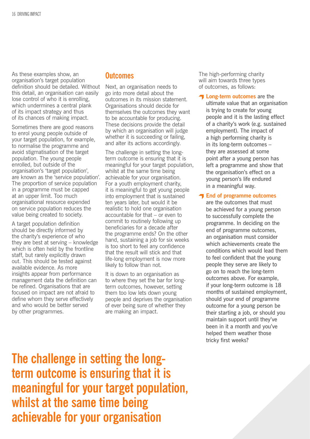As these examples show, an organisation's target population definition should be detailed. Without this detail, an organisation can easily lose control of who it is enrolling, which undermines a central plank of its impact strategy and thus of its chances of making impact.

Sometimes there are good reasons to enrol young people outside of your target population, for example, to normalise the programme and avoid stigmatisation of the target population. The young people enrolled, but outside of the organisation's 'target population', are known as the 'service population'. The proportion of service population in a programme must be capped at an upper limit. Too much organisational resource expended on service population reduces the value being created to society.

A target population definition should be directly informed by the charity's experience of who they are best at serving – knowledge which is often held by the frontline staff, but rarely explicitly drawn out. This should be tested against available evidence. As more insights appear from performance management data the definition can be refined. Organisations that are focused on impact are not afraid to define whom they serve effectively and who would be better served by other programmes.

### **Outcomes**

Next, an organisation needs to go into more detail about the outcomes in its mission statement. Organisations should decide for themselves the outcomes they want to be accountable for producing. These decisions provide the detail by which an organisation will judge whether it is succeeding or failing, and alter its actions accordingly.

The challenge in setting the longterm outcome is ensuring that it is meaningful for your target population, whilst at the same time being achievable for your organisation. For a youth employment charity, it is meaningful to get young people into employment that is sustained ten years later, but would it be realistic to hold one organisation accountable for that – or even to commit to routinely following up beneficiaries for a decade after the programme ends? On the other hand, sustaining a job for six weeks is too short to feel any confidence that the result will stick and that life-long employment is now more likely to follow than not.

It is down to an organisation as to where they set the bar for longterm outcomes, however, setting them too low lets down young people and deprives the organisation of ever being sure of whether they are making an impact.

The high-performing charity will aim towards three types of outcomes, as follows:

**T** Long-term outcomes are the ultimate value that an organisation is trying to create for young people and it is the lasting effect of a charity's work (e.g. sustained employment). The impact of a high performing charity is in its long-term outcomes – they are assessed at some point after a young person has left a programme and show that the organisation's effect on a young person's life endured in a meaningful way.

### **Find of programme outcomes**

are the outcomes that must be achieved for a young person to successfully complete the programme. In deciding on the end of programme outcomes, an organisation must consider which achievements create the conditions which would lead them to feel confident that the young people they serve are likely to go on to reach the long-term outcomes above. For example, if your long-term outcome is 18 months of sustained employment, should your end of programme outcome for a young person be their starting a job, or should you maintain support until they've been in it a month and you've helped them weather those tricky first weeks?

**The challenge in setting the longterm outcome is ensuring that it is meaningful for your target population, whilst at the same time being achievable for your organisation**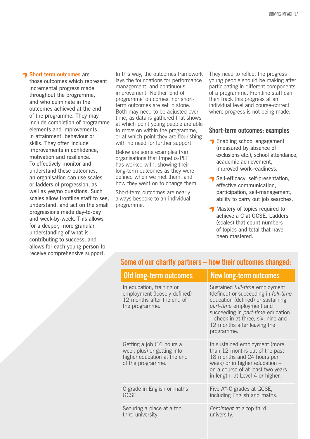### **T** Short-term outcomes are

those outcomes which represent incremental progress made throughout the programme, and who culminate in the outcomes achieved at the end of the programme. They may include completion of programme elements and improvements in attainment, behaviour or skills. They often include improvements in confidence, motivation and resilience. To effectively monitor and understand these outcomes, an organisation can use scales or ladders of progression, as well as yes/no questions. Such scales allow frontline staff to see, understand, and act on the small progressions made day-to-day and week-by-week. This allows for a deeper, more granular understanding of what is contributing to success, and allows for each young person to receive comprehensive support.

In this way, the outcomes framework lays the foundations for performance management, and continuous improvement. Neither 'end of programme' outcomes, nor shortterm outcomes are set in stone. Both may need to be adjusted over time, as data is gathered that shows at which point young people are able to move on within the programme, or at which point they are flourishing with no need for further support.

Below are some examples from organisations that Impetus-PEF has worked with, showing their long-term outcomes as they were defined when we met them, and how they went on to change them.

Short-term outcomes are nearly always bespoke to an individual programme.

They need to reflect the progress young people should be making after participating in different components of a programme. Frontline staff can then track this progress at an individual level and course-correct where progress is not being made.

### **Short-term outcomes: examples**

- **T** Enabling school engagement (measured by absence of exclusions etc.), school attendance, academic achievement, improved work-readiness.
- Self-efficacy, self-presentation, effective communication, participation, self-management, ability to carry out job searches.
- **T** Mastery of topics required to achieve a C at GCSE. Ladders (scales) that count numbers of topics and total that have been mastered.

### **Some of our charity partners – how their outcomes changed:**

| <b>Old long-term outcomes</b>                                                                               | <b>New long-term outcomes</b>                                                                                                                                                                                                                                                        |
|-------------------------------------------------------------------------------------------------------------|--------------------------------------------------------------------------------------------------------------------------------------------------------------------------------------------------------------------------------------------------------------------------------------|
| In education, training or<br>employment (loosely defined)<br>12 months after the end of<br>the programme.   | Sustained <i>full-time</i> employment<br>(defined) or succeeding in <i>full-time</i><br>education (defined) or sustaining<br>part-time employment and<br>succeeding in <i>part-time</i> education<br>- check-in at three, six, nine and<br>12 months after leaving the<br>programme. |
| Getting a job (16 hours a<br>week plus) or getting into<br>higher education at the end<br>of the programme. | In sustained employment (more<br>than 12 months out of the past<br>18 months and 24 hours per<br>week) or in higher education -<br>on a course of at least two years<br>in length, at Level 4 or higher.                                                                             |
| C grade in English or maths<br>GCSE.                                                                        | Five A*-C grades at GCSE,<br>including English and maths.                                                                                                                                                                                                                            |
| Securing a place at a top<br>third university.                                                              | <i>Enrolment</i> at a top third<br>university.                                                                                                                                                                                                                                       |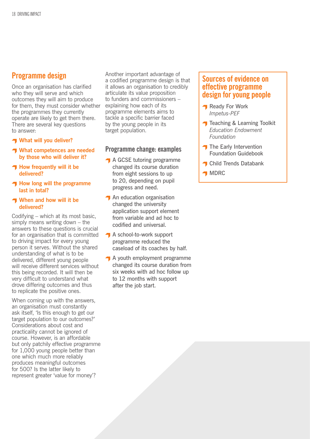### **Programme design**

Once an organisation has clarified who they will serve and which outcomes they will aim to produce for them, they must consider whether the programmes they currently operate are likely to get them there. There are several key questions to answer:

- **What will you deliver?**
- **T** What competences are needed **by those who will deliver it?**
- **How frequently will it be delivered?**
- **How long will the programme last in total?**

### **T** When and how will it be **delivered?**

Codifying – which at its most basic, simply means writing down – the answers to these questions is crucial for an organisation that is committed to driving impact for every young person it serves. Without the shared understanding of what is to be delivered, different young people will receive different services without this being recorded. It will then be very difficult to understand what drove differing outcomes and thus to replicate the positive ones.

When coming up with the answers, an organisation must constantly ask itself, 'Is this enough to get our target population to our outcomes?' Considerations about cost and practicality cannot be ignored of course. However, is an affordable but only patchily effective programme for 1,000 young people better than one which much more reliably produces meaningful outcomes for 500? Is the latter likely to represent greater 'value for money'?

Another important advantage of a codified programme design is that it allows an organisation to credibly articulate its value proposition to funders and commissioners – explaining how each of its programme elements aims to tackle a specific barrier faced by the young people in its target population.

### **Programme change: examples**

- A GCSE tutoring programme changed its course duration from eight sessions to up to 20, depending on pupil progress and need.
- $\bigcap$  An education organisation changed the university application support element from variable and ad hoc to codified and universal.
- A school-to-work support programme reduced the caseload of its coaches by half.
- A youth employment programme changed its course duration from six weeks with ad hoc follow up to 12 months with support after the job start.

### **Sources of evidence on effective programme design for young people**

- **Ready For Work** *Impetus-PEF*
- **T** Teaching & Learning Toolkit *Education Endowment Foundation*
- $\blacksquare$  The Early Intervention Foundation Guidebook
- **T** Child Trends Databank
- $\blacksquare$  MDRC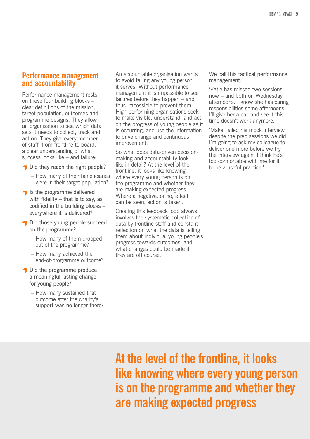### **Performance management and accountability**

Performance management rests on these four building blocks – clear definitions of the mission, target population, outcomes and programme designs. They allow an organisation to see which data sets it needs to collect, track and act on. They give every member of staff, from frontline to board, a clear understanding of what success looks like – and failure:

- Did they reach the right people?
	- How many of their beneficiaries were in their target population?
- $\blacksquare$  Is the programme delivered with fidelity – that is to say, as codified in the building blocks – everywhere it is delivered?
- Did those young people succeed on the programme?
	- How many of them dropped out of the programme?
	- How many achieved the end-of-programme outcome?
- Did the programme produce a meaningful lasting change for young people?
	- How many sustained that outcome after the charity's support was no longer there?

An accountable organisation wants to avoid failing any young person it serves. Without performance management it is impossible to see failures before they happen – and thus impossible to prevent them. High-performing organisations seek to make visible, understand, and act on the progress of young people as it is occurring, and use the information to drive change and continuous improvement.

So what does data-driven decisionmaking and accountability look like in detail? At the level of the frontline, it looks like knowing where every young person is on the programme and whether they are making expected progress. Where a negative, or no, effect can be seen, action is taken.

Creating this feedback loop always involves the systematic collection of data by frontline staff and constant reflection on what the data is telling them about individual young people's progress towards outcomes, and what changes could be made if they are off course.

We call this tactical performance management.

'Katie has missed two sessions now – and both on Wednesday afternoons. I know she has caring responsibilities some afternoons, I'll give her a call and see if this time doesn't work anymore.'

'Makai failed his mock interview despite the prep sessions we did. I'm going to ask my colleague to deliver one more before we try the interview again. I think he's too comfortable with me for it to be a useful practice.'

**At the level of the frontline, it looks like knowing where every young person is on the programme and whether they are making expected progress**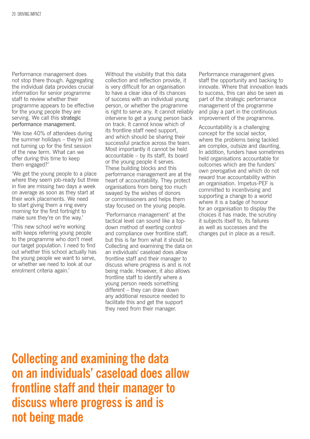Performance management does not stop there though. Aggregating the individual data provides crucial information for senior programme staff to review whether their programme appears to be effective for the young people they are serving. We call this strategic performance management.

'We lose 40% of attendees during the summer holidays – they're just not turning up for the first session of the new term. What can we offer during this time to keep them engaged?'

'We get the young people to a place where they seem job-ready but three in five are missing two days a week on average as soon as they start at their work placements. We need to start giving them a ring every morning for the first fortnight to make sure they're on the way.'

'This new school we're working with keeps referring young people to the programme who don't meet our target population. I need to find out whether this school actually has the young people we want to serve, or whether we need to look at our enrolment criteria again.'

Without the visibility that this data collection and reflection provide, it is very difficult for an organisation to have a clear idea of its chances of success with an individual young person, or whether the programme is right to serve any. It cannot reliably intervene to get a young person back on track. It cannot know which of its frontline staff need support, and which should be sharing their successful practice across the team. Most importantly it cannot be held accountable – by its staff, its board or the young people it serves. These building blocks and this performance management are at the heart of accountability. They protect organisations from being too much swayed by the wishes of donors or commissioners and helps them stay focused on the young people.

'Performance management' at the tactical level can sound like a topdown method of exerting control and compliance over frontline staff, but this is far from what it should be. Collecting and examining the data on an individuals' caseload does allow frontline staff and their manager to discuss where progress is and is not being made. However, it also allows frontline staff to identify where a young person needs something different – they can draw down any additional resource needed to facilitate this and get the support they need from their manager.

Performance management gives staff the opportunity and backing to innovate. Where that innovation leads to success, this can also be seen as part of the strategic performance management of the programme and play a part in the continuous improvement of the programme.

Accountability is a challenging concept for the social sector, where the problems being tackled are complex, outsize and daunting. In addition, funders have sometimes held organisations accountable for outcomes which are the funders' own prerogative and which do not reward true accountability within an organisation. Impetus-PEF is committed to incentivising and supporting a change to a world where it is a badge of honour for an organisation to display the choices it has made, the scrutiny it subjects itself to, its failures as well as successes and the changes put in place as a result.

**Collecting and examining the data on an individuals' caseload does allow frontline staff and their manager to discuss where progress is and is not being made**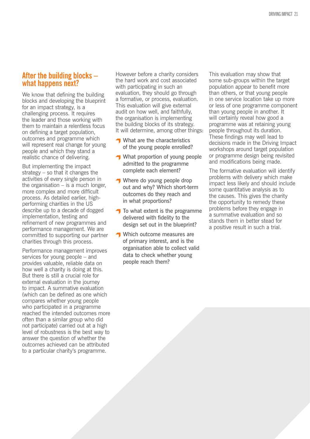### **After the building blocks – what happens next?**

We know that defining the building blocks and developing the blueprint for an impact strategy, is a challenging process. It requires the leader and those working with them to maintain a relentless focus on defining a target population, outcomes and programme which will represent real change for young people and which they stand a realistic chance of delivering.

But implementing the impact strategy – so that it changes the activities of every single person in the organisation  $-$  is a much longer, more complex and more difficult process. As detailed earlier, highperforming charities in the US describe up to a decade of dogged implementation, testing and refinement of new programmes and performance management. We are committed to supporting our partner charities through this process.

Performance management improves services for young people – and provides valuable, reliable data on how well a charity is doing at this. But there is still a crucial role for external evaluation in the journey to impact. A summative evaluation (which can be defined as one which compares whether young people who participated in a programme reached the intended outcomes more often than a similar group who did not participate) carried out at a high level of robustness is the best way to answer the question of whether the outcomes achieved can be attributed to a particular charity's programme.

However before a charity considers the hard work and cost associated with participating in such an evaluation, they should go through a formative, or process, evaluation. This evaluation will give external audit on how well, and faithfully, the organisation is implementing the building blocks of its strategy. It will determine, among other things:

- What are the characteristics of the young people enrolled?
- What proportion of young people admitted to the programme complete each element?
- Where do young people drop out and why? Which short-term outcomes do they reach and in what proportions?
- $\bigcap$  To what extent is the programme delivered with fidelity to the design set out in the blueprint?
- **Which outcome measures are** of primary interest, and is the organisation able to collect valid data to check whether young people reach them?

This evaluation may show that some sub-groups within the target population appear to benefit more than others, or that young people in one service location take up more or less of one programme component than young people in another. It will certainly reveal how good a programme was at retaining young people throughout its duration. These findings may well lead to decisions made in the Driving Impact workshops around target population or programme design being revisited and modifications being made.

The formative evaluation will identify problems with delivery which make impact less likely and should include some quantitative analysis as to the causes. This gives the charity the opportunity to remedy these problems before they engage in a summative evaluation and so stands them in better stead for a positive result in such a trial.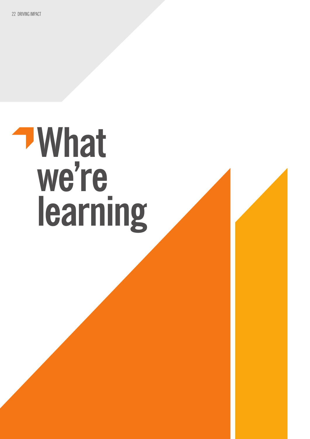### **What**  we're **learning**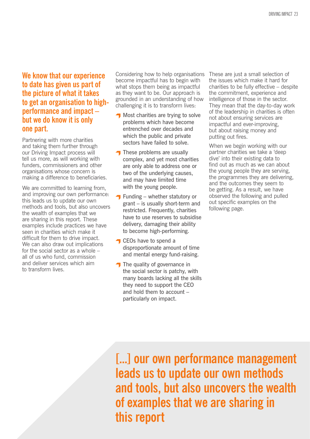**We know that our experience to date has given us part of the picture of what it takes to get an organisation to highperformance and impact – but we do know it is only one part.** 

Partnering with more charities and taking them further through our Driving Impact process will tell us more, as will working with funders, commissioners and other organisations whose concern is making a difference to beneficiaries.

We are committed to learning from, and improving our own performance: this leads us to update our own methods and tools, but also uncovers the wealth of examples that we are sharing in this report. These examples include practices we have seen in charities which make it difficult for them to drive impact. We can also draw out implications for the social sector as a whole – all of us who fund, commission and deliver services which aim to transform lives.

Considering how to help organisations become impactful has to begin with what stops them being as impactful as they want to be. Our approach is grounded in an understanding of how challenging it is to transform lives:

- **Most charities are trying to solve** problems which have become entrenched over decades and which the public and private sectors have failed to solve.
- $\bigcap$  These problems are usually complex, and yet most charities are only able to address one or two of the underlying causes, and may have limited time with the young people.
- $\bigcap$  Funding whether statutory or grant – is usually short-term and restricted. Frequently, charities have to use reserves to subsidise delivery, damaging their ability to become high-performing.
- **CEOs have to spend a** disproportionate amount of time and mental energy fund-raising.
- $\bigcap$  The quality of governance in the social sector is patchy, with many boards lacking all the skills they need to support the CEO and hold them to account – particularly on impact.

These are just a small selection of the issues which make it hard for charities to be fully effective – despite the commitment, experience and intelligence of those in the sector. They mean that the day-to-day work of the leadership in charities is often not about ensuring services are impactful and ever-improving, but about raising money and putting out fires.

When we begin working with our partner charities we take a 'deep dive' into their existing data to find out as much as we can about the young people they are serving, the programmes they are delivering, and the outcomes they seem to be getting. As a result, we have observed the following and pulled out specific examples on the following page.

**[...] our own performance management leads us to update our own methods and tools, but also uncovers the wealth of examples that we are sharing in this report**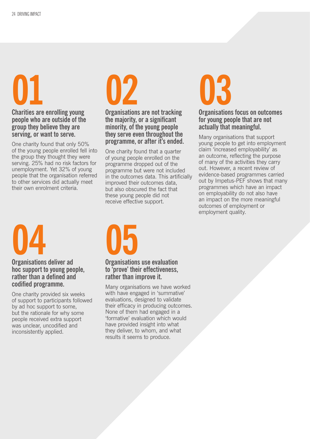### **01**

**Charities are enrolling young people who are outside of the group they believe they are serving, or want to serve.**

One charity found that only 50% of the young people enrolled fell into the group they thought they were serving. 25% had no risk factors for unemployment. Yet 32% of young people that the organisation referred to other services did actually meet their own enrolment criteria.



**the majority, or a significant minority, of the young people they serve even throughout the programme, or after it's ended.** 

One charity found that a quarter of young people enrolled on the programme dropped out of the programme but were not included in the outcomes data. This artificially improved their outcomes data, but also obscured the fact that these young people did not receive effective support.



### **Organisations focus on outcomes for young people that are not actually that meaningful.**

Many organisations that support young people to get into employment claim 'increased employability' as an outcome, reflecting the purpose of many of the activities they carry out. However, a recent review of evidence-based programmes carried out by Impetus-PEF shows that many programmes which have an impact on employability do not also have an impact on the more meaningful outcomes of employment or employment quality.

### **04**

**Organisations deliver ad hoc support to young people, rather than a defined and codified programme.**

One charity provided six weeks of support to participants followed by ad hoc support to some, but the rationale for why some people received extra support was unclear, uncodified and inconsistently applied.



### **Organisations use evaluation to 'prove' their effectiveness, rather than improve it.**

Many organisations we have worked with have engaged in 'summative' evaluations, designed to validate their efficacy in producing outcomes. None of them had engaged in a 'formative' evaluation which would have provided insight into what they deliver, to whom, and what results it seems to produce.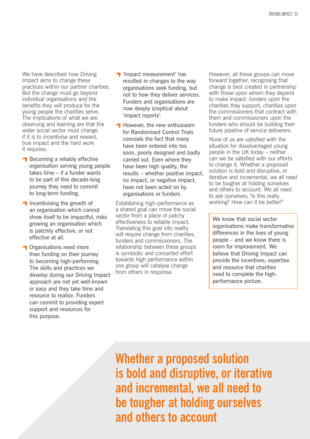We have described how Driving Impact aims to change these practices within our partner charities. But the change must go beyond individual organisations and the benefits they will produce for the young people the charities serve. The implications of what we are observing and learning are that the wider social sector must change if it is to incentivise and reward, true impact and the hard work it requires:

- Becoming a reliably effective organisation serving young people takes time – if a funder wants to be part of this decade-long journey they need to commit to long-term funding.
- $\bigcap$  Incentivising the growth of an organisation which cannot show itself to be impactful, risks growing an organisation which is patchily effective, or not effective at all.
- **T** Organisations need more than funding on their journey to becoming high-performing. The skills and practices we develop during our Driving Impact approach are not yet well-known or easy and they take time and resource to realise. Funders can commit to providing expert support and resources for this purpose.
- **T** 'Impact measurement' has resulted in changes to the way organisations seek funding, but not to how they deliver services. Funders and organisations are now deeply sceptical about 'impact reports'.
- $\bigcap$  However, the new enthusiasm for Randomised Control Trials conceals the fact that many have been entered into too soon, poorly designed and badly carried out. Even where they have been high quality, the results – whether positive impact, no impact, or negative impact, have not been acted on by organisations or funders.

Establishing high-performance as a shared goal can move the social sector from a place of patchy effectiveness to reliable impact. Translating this goal into reality will require change from charities, funders and commissioners. The relationship between these groups is symbiotic and concerted effort towards high performance within one group will catalyse change from others in response.

However, all these groups can move forward together, recognising that change is best created in partnership with those upon whom they depend to make impact: funders upon the charities they support, charities upon the commissioners that contract with them and commissioners upon the funders who should be building their future pipeline of service deliverers.

None of us are satisfied with the situation for disadvantaged young people in the UK today – neither can we be satisfied with our efforts to change it. Whether a proposed solution is bold and disruptive, or iterative and incremental, we all need to be tougher at holding ourselves and others to account. We all need to ask ourselves; 'Is this really working? How can it be better?'

We know that social sector organisations make transformative differences in the lives of young people – and we know there is room for improvement. We believe that Driving Impact can provide the incentives, expertise and resource that charities need to complete the highperformance picture.

**Whether a proposed solution is bold and disruptive, or iterative and incremental, we all need to be tougher at holding ourselves and others to account**